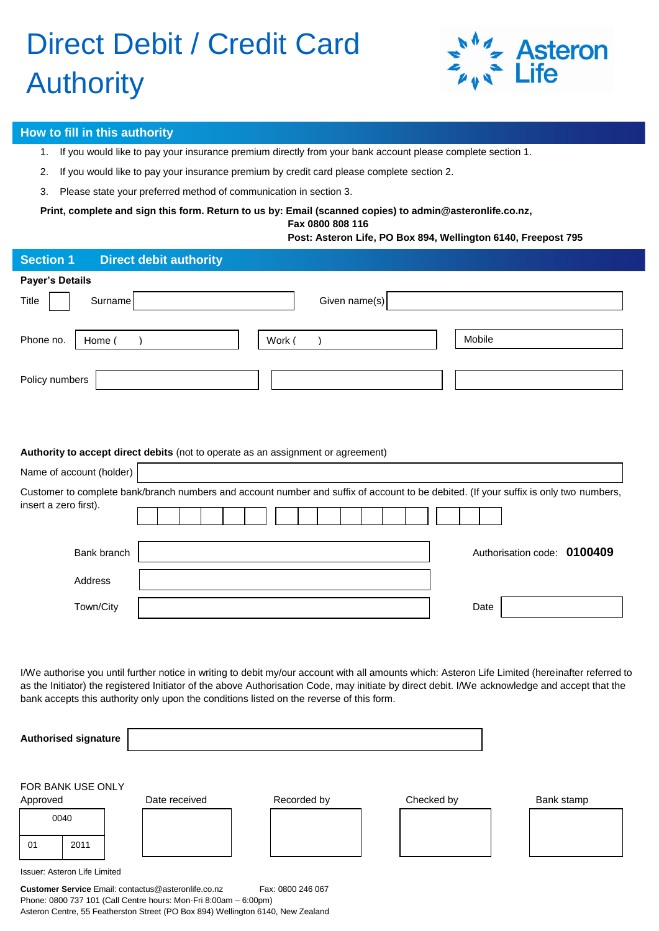# Direct Debit / Credit Card **Authority**



#### **How to fill in this authority**

- 1. If you would like to pay your insurance premium directly from your bank account please complete section 1.
- 2. If you would like to pay your insurance premium by credit card please complete section 2.
- 3. Please state your preferred method of communication in section 3.

**Print, complete and sign this form. Return to us by: Email (scanned copies) to [admin@asteronlife.co.nz,](mailto:admin@asteronlife.co.nz)** 

 **Fax 0800 808 116**

#### **Post: Asteron Life, PO Box 894, Wellington 6140, Freepost 795**

| <b>Section 1</b>         | <b>Direct debit authority</b>                                                                                                         |
|--------------------------|---------------------------------------------------------------------------------------------------------------------------------------|
| <b>Payer's Details</b>   |                                                                                                                                       |
| Surname<br>Title         | Given name(s)                                                                                                                         |
| Phone no.<br>Home (      | Mobile<br>Work (                                                                                                                      |
| Policy numbers           |                                                                                                                                       |
| Name of account (holder) | Authority to accept direct debits (not to operate as an assignment or agreement)                                                      |
| insert a zero first).    | Customer to complete bank/branch numbers and account number and suffix of account to be debited. (If your suffix is only two numbers, |
| Bank branch              | Authorisation code: 0100409                                                                                                           |
| Address                  |                                                                                                                                       |
| Town/City                | Date                                                                                                                                  |
|                          |                                                                                                                                       |

I/We authorise you until further notice in writing to debit my/our account with all amounts which: Asteron Life Limited (hereinafter referred to as the Initiator) the registered Initiator of the above Authorisation Code, may initiate by direct debit. I/We acknowledge and accept that the bank accepts this authority only upon the conditions listed on the reverse of this form.

| <b>Authorised signature</b>                                                               |      |  |  |  |  |  |  |  |  |  |
|-------------------------------------------------------------------------------------------|------|--|--|--|--|--|--|--|--|--|
| FOR BANK USE ONLY<br>Checked by<br>Recorded by<br>Date received<br>Bank stamp<br>Approved |      |  |  |  |  |  |  |  |  |  |
| 0040                                                                                      |      |  |  |  |  |  |  |  |  |  |
| 01                                                                                        | 2011 |  |  |  |  |  |  |  |  |  |
| Issuer: Asteron Life Limited                                                              |      |  |  |  |  |  |  |  |  |  |

Issuer: Asteron Life Limited

**Customer Service** Email[: contactus@asteronlife.co.nz](mailto:contactus@asteronlife.co.nz) Fax: 0800 246 067 Phone: 0800 737 101 (Call Centre hours: Mon-Fri 8:00am – 6:00pm) Asteron Centre, 55 Featherston Street (PO Box 894) Wellington 6140, New Zealand